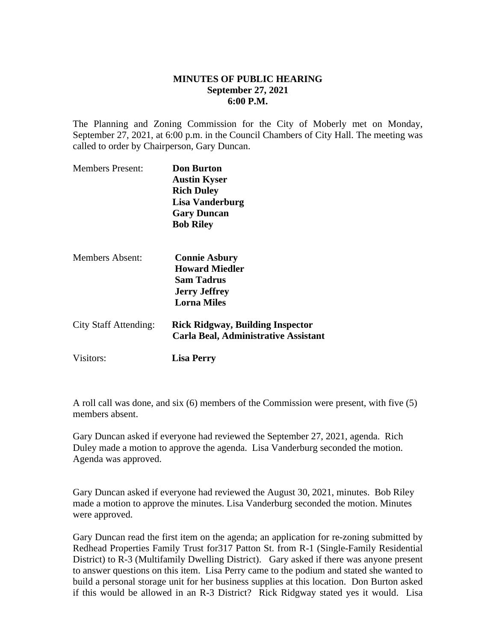## **MINUTES OF PUBLIC HEARING September 27, 2021 6:00 P.M.**

The Planning and Zoning Commission for the City of Moberly met on Monday, September 27, 2021, at 6:00 p.m. in the Council Chambers of City Hall. The meeting was called to order by Chairperson, Gary Duncan.

| <b>Members Present:</b> | <b>Don Burton</b><br><b>Austin Kyser</b><br><b>Rich Duley</b><br><b>Lisa Vanderburg</b><br><b>Gary Duncan</b><br><b>Bob Riley</b> |
|-------------------------|-----------------------------------------------------------------------------------------------------------------------------------|
| Members Absent:         | <b>Connie Asbury</b><br><b>Howard Miedler</b><br><b>Sam Tadrus</b><br><b>Jerry Jeffrey</b><br><b>Lorna Miles</b>                  |
| City Staff Attending:   | <b>Rick Ridgway, Building Inspector</b><br>Carla Beal, Administrative Assistant                                                   |
| Visitors:               | Lisa Perry                                                                                                                        |

A roll call was done, and six (6) members of the Commission were present, with five (5) members absent.

Gary Duncan asked if everyone had reviewed the September 27, 2021, agenda. Rich Duley made a motion to approve the agenda. Lisa Vanderburg seconded the motion. Agenda was approved.

Gary Duncan asked if everyone had reviewed the August 30, 2021, minutes. Bob Riley made a motion to approve the minutes. Lisa Vanderburg seconded the motion. Minutes were approved.

Gary Duncan read the first item on the agenda; an application for re-zoning submitted by Redhead Properties Family Trust for317 Patton St. from R-1 (Single-Family Residential District) to R-3 (Multifamily Dwelling District). Gary asked if there was anyone present to answer questions on this item. Lisa Perry came to the podium and stated she wanted to build a personal storage unit for her business supplies at this location. Don Burton asked if this would be allowed in an R-3 District? Rick Ridgway stated yes it would. Lisa